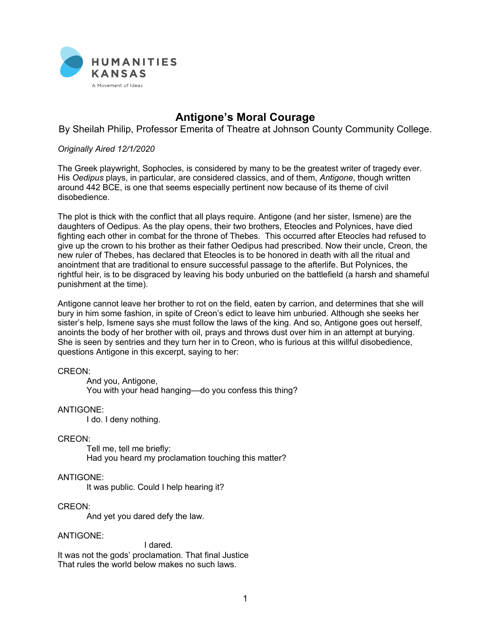

# **Antigone's Moral Courage**

By Sheilah Philip, Professor Emerita of Theatre at Johnson County Community College.

## *Originally Aired 12/1/2020*

The Greek playwright, Sophocles, is considered by many to be the greatest writer of tragedy ever. His *Oedipus* plays, in particular, are considered classics, and of them, *Antigone*, though written around 442 BCE, is one that seems especially pertinent now because of its theme of civil disobedience.

The plot is thick with the conflict that all plays require. Antigone (and her sister, Ismene) are the daughters of Oedipus. As the play opens, their two brothers, Eteocles and Polynices, have died fighting each other in combat for the throne of Thebes. This occurred after Eteocles had refused to give up the crown to his brother as their father Oedipus had prescribed. Now their uncle, Creon, the new ruler of Thebes, has declared that Eteocles is to be honored in death with all the ritual and anointment that are traditional to ensure successful passage to the afterlife. But Polynices, the rightful heir, is to be disgraced by leaving his body unburied on the battlefield (a harsh and shameful punishment at the time).

Antigone cannot leave her brother to rot on the field, eaten by carrion, and determines that she will bury in him some fashion, in spite of Creon's edict to leave him unburied. Although she seeks her sister's help, Ismene says she must follow the laws of the king. And so, Antigone goes out herself, anoints the body of her brother with oil, prays and throws dust over him in an attempt at burying. She is seen by sentries and they turn her in to Creon, who is furious at this willful disobedience, questions Antigone in this excerpt, saying to her:

### CREON:

And you, Antigone, You with your head hanging––do you confess this thing?

#### ANTIGONE:

I do. I deny nothing.

#### CREON:

Tell me, tell me briefly: Had you heard my proclamation touching this matter?

## ANTIGONE:

It was public. Could I help hearing it?

## CREON:

And yet you dared defy the law.

#### ANTIGONE:

I dared. It was not the gods' proclamation. That final Justice That rules the world below makes no such laws.